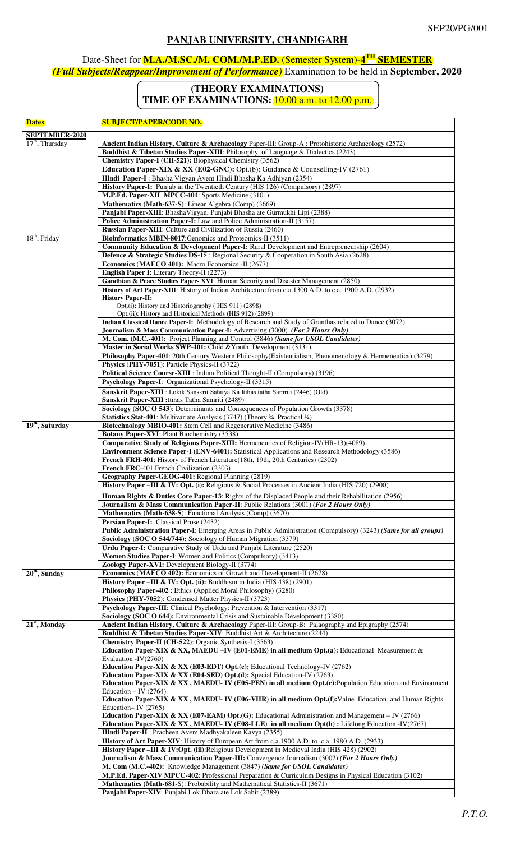## **PANJAB UNIVERSITY, CHANDIGARH**

## Date-Sheet for **M.A./M.SC./M. COM./M.P.ED.** (Semester System)-**4 TH SEMESTER** *(Full Subjects/Reappear/Improvement of Performance)* Examination to be held in **September, 2020**

## **(THEORY EXAMINATIONS)**

**TIME OF EXAMINATIONS: 10.00 a.m. to 12.00 p.m.** 

| <b>Dates</b>                | <b>SUBJECT/PAPER/CODE NO.</b>                                                                                                                                                  |
|-----------------------------|--------------------------------------------------------------------------------------------------------------------------------------------------------------------------------|
| <b>SEPTEMBER-2020</b>       |                                                                                                                                                                                |
| $17th$ , Thursday           | Ancient Indian History, Culture & Archaeology Paper-III: Group-A : Protohistoric Archaeology (2572)                                                                            |
|                             | Buddhist & Tibetan Studies Paper-XIII: Philosophy of Language & Dialectics (2243)<br>Chemistry Paper-I (CH-521): Biophysical Chemistry (3562)                                  |
|                             | <b>Education Paper-XIX &amp; XX (E02-GNC):</b> Opt.(b): Guidance & Counselling-IV (2761)                                                                                       |
|                             | Hindi Paper-I: Bhasha Vigyan Avem Hindi Bhasha Ka Adhiyan (2354)                                                                                                               |
|                             | History Paper-I: Punjab in the Twentieth Century (HIS 126) (Compulsory) (2897)                                                                                                 |
|                             | M.P.Ed. Paper-XII MPCC-401: Sports Medicine (3101)<br>Mathematics (Math-637-S): Linear Algebra (Comp) (3669)                                                                   |
|                             | Panjabi Paper-XIII: BhashaVigyan, Punjabi Bhasha ate Gurmukhi Lipi (2388)                                                                                                      |
|                             | Police Administration Paper-I: Law and Police Administration-II (3157)                                                                                                         |
| $18th$ , Friday             | Russian Paper-XIII: Culture and Civilization of Russia (2460)<br>Bioinformatics MBIN-8017: Genomics and Proteomics-II (3511)                                                   |
|                             | Community Education & Development Paper-I: Rural Development and Entrepreneurship (2604)                                                                                       |
|                             | <b>Defence &amp; Strategic Studies DS-15</b> : Regional Security & Cooperation in South Asia (2628)                                                                            |
|                             | Economics (MAECO 401): Macro Economics -II (2677)                                                                                                                              |
|                             | English Paper I: Literary Theory-II (2273)<br>Gandhian & Peace Studies Paper- XVI: Human Security and Disaster Management (2850)                                               |
|                             | History of Art Paper-XIII: History of Indian Architecture from c.a.1300 A.D. to c.a. 1900 A.D. (2932)                                                                          |
|                             | <b>History Paper-II:</b>                                                                                                                                                       |
|                             | Opt.(i): History and Historiography (HIS 911) (2898)<br>Opt. (ii): History and Historical Methods (HIS 912) (2899)                                                             |
|                             | Indian Classical Dance Paper-I: Methodology of Research and Study of Granthas related to Dance (3072)                                                                          |
|                             | Journalism & Mass Communication Paper-I: Advertising (3000) (For 2 Hours Only)                                                                                                 |
|                             | M. Com. (M.C.-401): Project Planning and Control (3846) (Same for USOL Candidates)<br>Master in Social Works SWP-401: Child & Youth Development (3131)                         |
|                             | Philosophy Paper-401: 20th Century Western Philosophy(Existentialism, Phenomenology & Hermeneutics) (3279)                                                                     |
|                             | Physics (PHY-7051): Particle Physics-II (3722)                                                                                                                                 |
|                             | Political Science Course-XIII : Indian Political Thought-II (Compulsory) (3196)                                                                                                |
|                             | Psychology Paper-I: Organizational Psychology-II (3315)                                                                                                                        |
|                             | Sanskrit Paper-XIII : Lokik Sanskrit Sahitya Ka Itihas tatha Samriti (2446) (Old)<br>Sanskrit Paper-XIII : Itihas Tatha Samriti (2489)                                         |
|                             | Sociology (SOC O 543): Determinants and Consequences of Population Growth (3378)                                                                                               |
|                             | Statistics Stat-401: Multivariate Analysis (3747) (Theory 34, Practical 1/4)                                                                                                   |
| 19 <sup>th</sup> , Saturday | Biotechnology MBIO-401: Stem Cell and Regenerative Medicine (3486)<br><b>Botany Paper-XVI: Plant Biochemistry (3538)</b>                                                       |
|                             | Comparative Study of Religions Paper-XIII: Hermeneutics of Religion-IV(HR-13)(4089)                                                                                            |
|                             | Environment Science Paper-I (ENV-6401): Statistical Applications and Research Methodology (3586)                                                                               |
|                             | French FRH-401: History of French Literature(18th, 19th, 20th Centuries) (2302)                                                                                                |
|                             | French FRC-401 French Civilization (2303)<br>Geography Paper-GEOG-401: Regional Planning (2819)                                                                                |
|                             | History Paper -III & IV: Opt. (i): Religious & Social Processes in Ancient India (HIS 720) (2900)                                                                              |
|                             | Human Rights & Duties Core Paper-13: Rights of the Displaced People and their Rehabilitation (2956)                                                                            |
|                             | <b>Journalism &amp; Mass Communication Paper-II:</b> Public Relations (3001) (For 2 Hours Only)                                                                                |
|                             | <b>Mathematics (Math-638-S): Functional Analysis (Comp) (3670)</b><br>Persian Paper-I: Classical Prose (2432)                                                                  |
|                             | Public Administration Paper-I: Emerging Areas in Public Administration (Compulsory) (3243) (Same for all groups)                                                               |
|                             | Sociology (SOC O 544/744): Sociology of Human Migration (3379)                                                                                                                 |
|                             | Urdu Paper-I: Comparative Study of Urdu and Punjabi Literature (2520)<br>Women Studies Paper-I: Women and Politics (Compulsory) (3413)                                         |
|                             | Zoology Paper-XVI: Development Biology-II (3774)                                                                                                                               |
| $20th$ , Sunday             | Economics (MAECO 402): Economics of Growth and Development-II (2678)                                                                                                           |
|                             | <b>History Paper – III &amp; IV: Opt. (ii):</b> Buddhism in India (HIS 438) (2901)                                                                                             |
|                             | Philosophy Paper-402 : Ethics (Applied Moral Philosophy) (3280)<br>Physics (PHY-7052): Condensed Matter Physics-II (3723)                                                      |
|                             | Psychology Paper-III: Clinical Psychology: Prevention & Intervention (3317)                                                                                                    |
|                             | Sociology (SOC O 644): Environmental Crisis and Sustainable Development (3380)                                                                                                 |
| $21st$ , Monday             | Ancient Indian History, Culture & Archaeology Paper-III: Group-B: Palaography and Epigraphy (2574)<br>Buddhist & Tibetan Studies Paper-XIV: Buddhist Art & Architecture (2244) |
|                             | Chemistry Paper-II (CH-522): Organic Synthesis-I (3563)                                                                                                                        |
|                             | Education Paper-XIX & XX, MAEDU - IV (E01-EME) in all medium Opt.(a): Educational Measurement &                                                                                |
|                             | Evaluation -IV(2760)<br><b>Education Paper-XIX &amp; XX (E03-EDT) Opt.(c):</b> Educational Technology-IV (2762)                                                                |
|                             | <b>Education Paper-XIX &amp; XX (E04-SED) Opt.(d):</b> Special Education-IV (2763)                                                                                             |
|                             | Education Paper-XIX & XX, MAEDU-IV (E05-PEN) in all medium Opt.(e): Population Education and Environment                                                                       |
|                             | Education – IV $(2764)$<br>Education Paper-XIX & XX, MAEDU-IV (E06-VHR) in all medium Opt.(f): Value Education and Human Rights                                                |
|                             | Education-IV $(2765)$                                                                                                                                                          |
|                             | <b>Education Paper-XIX &amp; XX (E07-EAM) Opt.(G):</b> Educational Administration and Management – IV (2766)                                                                   |
|                             | <b>Education Paper-XIX &amp; XX, MAEDU-IV (E08-LLE) in all medium Opt(h):</b> Lifelong Education -IV(2767)<br>Hindi Paper-II : Pracheen Avem Madhyakaleen Kavya (2355)         |
|                             | History of Art Paper-XIV: History of European Art from c.a.1900 A.D. to c.a. 1980 A.D. (2933)                                                                                  |
|                             | History Paper –III & IV:Opt. (iii): Religious Development in Medieval India (HIS 428) (2902)                                                                                   |
|                             | Journalism & Mass Communication Paper-III: Convergence Journalism (3002) (For 2 Hours Only)<br>M. Com (M.C.-402): Knowledge Management (3847) (Same for USOL Candidates)       |
|                             | M.P.Ed. Paper-XIV MPCC-402: Professional Preparation & Curriculum Designs in Physical Education (3102)                                                                         |
|                             | Mathematics (Math-681-S): Probability and Mathematical Statistics-II (3671)                                                                                                    |
|                             | Panjabi Paper-XIV: Punjabi Lok Dhara ate Lok Sahit (2389)                                                                                                                      |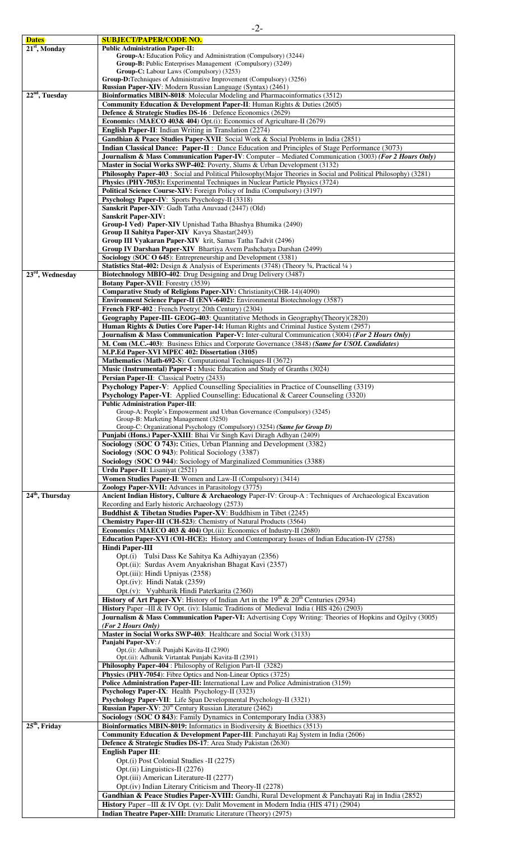| <b>Dates</b>       | <b>SUBJECT/PAPER/CODE NO.</b>                                                                                                                                |
|--------------------|--------------------------------------------------------------------------------------------------------------------------------------------------------------|
| $21st$ , Monday    | <b>Public Administration Paper-II:</b>                                                                                                                       |
|                    | Group-A: Education Policy and Administration (Compulsory) (3244)                                                                                             |
|                    | <b>Group-B:</b> Public Enterprises Management (Compulsory) (3249)                                                                                            |
|                    | <b>Group-C:</b> Labour Laws (Compulsory) (3253)                                                                                                              |
|                    | Group-D:Techniques of Administrative Improvement (Compulsory) (3256)                                                                                         |
|                    | <b>Russian Paper-XIV</b> : Modern Russian Language (Syntax) (2461)                                                                                           |
| $22nd$ , Tuesday   | Bioinformatics MBIN-8018: Molecular Modeling and Pharmacoinformatics (3512)                                                                                  |
|                    | Community Education & Development Paper-II: Human Rights & Duties (2605)                                                                                     |
|                    | Defence & Strategic Studies DS-16 : Defence Economics (2629)                                                                                                 |
|                    | Economics (MAECO 403& 404) Opt.(i): Economics of Agriculture-II (2679)                                                                                       |
|                    | <b>English Paper-II:</b> Indian Writing in Translation (2274)                                                                                                |
|                    | Gandhian & Peace Studies Paper-XVII: Social Work & Social Problems in India (2851)                                                                           |
|                    | <b>Indian Classical Dance: Paper-II</b> : Dance Education and Principles of Stage Performance (3073)                                                         |
|                    | <b>Journalism &amp; Mass Communication Paper-IV</b> : Computer – Mediated Communication (3003) (For 2 Hours Only)                                            |
|                    | Master in Social Works SWP-402: Poverty, Slums & Urban Development (3132)                                                                                    |
|                    | Philosophy Paper-403 : Social and Political Philosophy (Major Theories in Social and Political Philosophy) (3281)                                            |
|                    | Physics (PHY-7053): Experimental Techniques in Nuclear Particle Physics (3724)                                                                               |
|                    | Political Science Course-XIV: Foreign Policy of India (Compulsory) (3197)                                                                                    |
|                    | Psychology Paper-IV: Sports Psychology-II (3318)                                                                                                             |
|                    | Sanskrit Paper-XIV: Gadh Tatha Anuvaad (2447) (Old)                                                                                                          |
|                    | <b>Sanskrit Paper-XIV:</b>                                                                                                                                   |
|                    | Group-I Ved) Paper-XIV Upnishad Tatha Bhashya Bhumika (2490)                                                                                                 |
|                    | Group II Sahitya Paper-XIV Kavya Shastar(2493)                                                                                                               |
|                    | Group III Vyakaran Paper-XIV krit, Samas Tatha Tadvit (2496)                                                                                                 |
|                    | Group IV Darshan Paper-XIV Bhartiya Avem Pashchatya Darshan (2499)                                                                                           |
|                    | Sociology (SOC O 645): Entrepreneurship and Development (3381)                                                                                               |
|                    | <b>Statistics Stat-402:</b> Design & Analysis of Experiments (3748) (Theory $\frac{3}{4}$ , Practical $\frac{1}{4}$ )                                        |
| $23rd$ , Wednesday | Biotechnology MBIO-402: Drug Designing and Drug Delivery (3487)                                                                                              |
|                    | Botany Paper-XVII: Forestry (3539)                                                                                                                           |
|                    | Comparative Study of Religions Paper-XIV: Christianity(CHR-14)(4090)                                                                                         |
|                    | <b>Environment Science Paper-II (ENV-6402):</b> Environmental Biotechnology (3587)                                                                           |
|                    | French FRP-402 : French Poetry(20th Century) (2304)                                                                                                          |
|                    | Geography Paper-III- GEOG-403: Quantitative Methods in Geography (Theory) (2820)                                                                             |
|                    | Human Rights & Duties Core Paper-14: Human Rights and Criminal Justice System (2957)                                                                         |
|                    | Journalism & Mass Communication Paper-V: Inter-cultural Communication (3004) (For 2 Hours Only)                                                              |
|                    | M. Com (M.C.-403): Business Ethics and Corporate Governance (3848) (Same for USOL Candidates)                                                                |
|                    | M.P.Ed Paper-XVI MPEC 402: Dissertation (3105)                                                                                                               |
|                    | Mathematics (Math-692-S): Computational Techniques-II (3672)                                                                                                 |
|                    | <b>Music (Instrumental) Paper-I:</b> Music Education and Study of Granths (3024)                                                                             |
|                    | Persian Paper-II: Classical Poetry (2433)                                                                                                                    |
|                    | Psychology Paper-V: Applied Counselling Specialities in Practice of Counselling (3319)                                                                       |
|                    | Psychology Paper-VI: Applied Counselling: Educational & Career Counseling (3320)                                                                             |
|                    | <b>Public Administration Paper-III:</b>                                                                                                                      |
|                    | Group-A: People's Empowerment and Urban Governance (Compulsory) (3245)                                                                                       |
|                    | Group-B: Marketing Management (3250)                                                                                                                         |
|                    | Group-C: Organizational Psychology (Compulsory) (3254) (Same for Group D)                                                                                    |
|                    | Punjabi (Hons.) Paper-XXIII: Bhai Vir Singh Kavi Diragh Adhyan (2409)                                                                                        |
|                    | Sociology (SOC O 743): Cities, Urban Planning and Development (3382)                                                                                         |
|                    | Sociology (SOC O 943): Political Sociology (3387)                                                                                                            |
|                    | Sociology (SOC O 944): Sociology of Marginalized Communities (3388)                                                                                          |
|                    | Urdu Paper-II: Lisaniyat (2521)                                                                                                                              |
|                    | Women Studies Paper-II: Women and Law-II (Compulsory) (3414)                                                                                                 |
|                    | Zoology Paper-XVII: Advances in Parasitology (3775)                                                                                                          |
| $24th$ , Thursday  | Ancient Indian History, Culture & Archaeology Paper-IV: Group-A : Techniques of Archaeological Excavation<br>Recording and Early historic Archaeology (2573) |
|                    | Buddhist & Tibetan Studies Paper-XV: Buddhism in Tibet (2245)                                                                                                |
|                    | Chemistry Paper-III (CH-523): Chemistry of Natural Products (3564)                                                                                           |
|                    | Economics (MAECO 403 & 404) Opt.(ii): Economics of Industry-II (2680)                                                                                        |
|                    | Education Paper-XVI (C01-HCE): History and Contemporary Issues of Indian Education-IV (2758)                                                                 |
|                    | <b>Hindi Paper-III</b>                                                                                                                                       |
|                    | Opt.(i) Tulsi Dass Ke Sahitya Ka Adhiyayan (2356)                                                                                                            |
|                    | Opt.(ii): Surdas Avem Anyakrishan Bhagat Kavi (2357)                                                                                                         |
|                    | Opt.(iii): Hindi Upniyas (2358)                                                                                                                              |
|                    |                                                                                                                                                              |
|                    | Opt.(iv): Hindi Natak (2359)                                                                                                                                 |
|                    | Opt.(v): Vyabharik Hindi Paterkarita (2360)                                                                                                                  |
|                    | <b>History of Art Paper-XV:</b> History of Indian Art in the $19th$ & $20th$ Centuries (2934)                                                                |
|                    | History Paper -III & IV Opt. (iv): Islamic Traditions of Medieval India (HIS 426) (2903)                                                                     |
|                    | Journalism & Mass Communication Paper-VI: Advertising Copy Writing: Theories of Hopkins and Ogilvy (3005)                                                    |
|                    | (For 2 Hours Only)                                                                                                                                           |
|                    | Master in Social Works SWP-403: Healthcare and Social Work (3133)<br>Panjabi Paper-XV: /                                                                     |
|                    | Opt.(i): Adhunik Punjabi Kavita-II (2390)                                                                                                                    |
|                    | Opt.(ii): Adhunik Virtantak Punjabi Kavita-II (2391)                                                                                                         |
|                    | Philosophy Paper-404 : Philosophy of Religion Part-II (3282)                                                                                                 |
|                    | Physics (PHY-7054): Fibre Optics and Non-Linear Optics (3725)                                                                                                |
|                    | Police Administration Paper-III: International Law and Police Administration (3159)                                                                          |
|                    | Psychology Paper-IX: Health Psychology-II (3323)                                                                                                             |
|                    | Psychology Paper-VII: Life Span Developmental Psychology-II (3321)                                                                                           |
|                    | Russian Paper-XV: 20 <sup>th</sup> Century Russian Literature (2462)                                                                                         |
|                    | Sociology (SOC O 843): Family Dynamics in Contemporary India (3383)                                                                                          |
| $25th$ , Friday    | Bioinformatics MBIN-8019: Informatics in Biodiversity & Bioethics (3513)                                                                                     |
|                    | Community Education & Development Paper-III: Panchayati Raj System in India (2606)                                                                           |
|                    | Defence & Strategic Studies DS-17: Area Study Pakistan (2630)                                                                                                |
|                    | <b>English Paper III:</b>                                                                                                                                    |
|                    | Opt.(i) Post Colonial Studies -II (2275)                                                                                                                     |
|                    | Opt.(ii) Linguistics-II (2276)                                                                                                                               |
|                    | Opt.(iii) American Literature-II (2277)                                                                                                                      |
|                    | Opt.(iv) Indian Literary Criticism and Theory-II (2278)                                                                                                      |
|                    | Gandhian & Peace Studies Paper-XVIII: Gandhi, Rural Development & Panchayati Raj in India (2852)                                                             |
|                    | <b>History</b> Paper –III & IV Opt. (v): Dalit Movement in Modern India (HIS 471) (2904)                                                                     |
|                    | Indian Theatre Paper-XIII: Dramatic Literature (Theory) (2975)                                                                                               |
|                    |                                                                                                                                                              |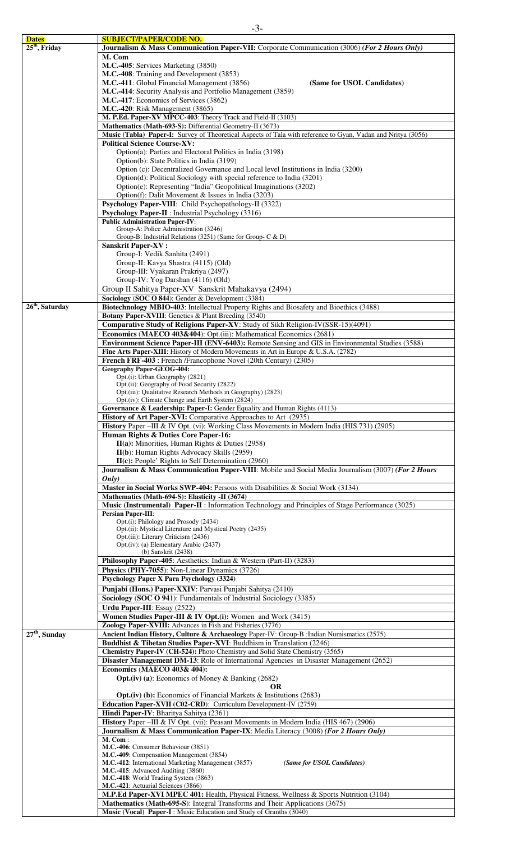| <b>Dates</b>                | <b>SUBJECT/PAPER/CODE NO.</b>                                                                                |
|-----------------------------|--------------------------------------------------------------------------------------------------------------|
| $25th$ , Friday             | Journalism & Mass Communication Paper-VII: Corporate Communication (3006) (For 2 Hours Only)                 |
|                             | M. Com                                                                                                       |
|                             | M.C.-405: Services Marketing (3850)                                                                          |
|                             | M.C.-408: Training and Development (3853)                                                                    |
|                             | M.C.-411: Global Financial Management (3856)<br>(Same for USOL Candidates)                                   |
|                             | M.C.-414: Security Analysis and Portfolio Management (3859)                                                  |
|                             |                                                                                                              |
|                             | M.C.-417: Economics of Services (3862)                                                                       |
|                             | <b>M.C.-420</b> : Risk Management (3865)                                                                     |
|                             | M. P.Ed. Paper-XV MPCC-403: Theory Track and Field-II (3103)                                                 |
|                             | Mathematics (Math-693-S): Differential Geometry-II (3673)                                                    |
|                             | Music (Tabla) Paper-I: Survey of Theoretical Aspects of Tala with reference to Gyan, Vadan and Nritya (3056) |
|                             | <b>Political Science Course-XV:</b>                                                                          |
|                             | Option(a): Parties and Electoral Politics in India (3198)                                                    |
|                             |                                                                                                              |
|                             | Option(b): State Politics in India (3199)                                                                    |
|                             | Option (c): Decentralized Governance and Local level Institutions in India (3200)                            |
|                             | Option(d): Political Sociology with special reference to India (3201)                                        |
|                             | Option(e): Representing "India" Geopolitical Imaginations (3202)                                             |
|                             | Option(f): Dalit Movement & Issues in India (3203)                                                           |
|                             | Psychology Paper-VIII: Child Psychopathology-II (3322)                                                       |
|                             |                                                                                                              |
|                             | Psychology Paper-II : Industrial Psychology (3316)                                                           |
|                             | <b>Public Administration Paper-IV:</b>                                                                       |
|                             | Group-A: Police Administration (3246)                                                                        |
|                             | Group-B: Industrial Relations (3251) (Same for Group- C & D)                                                 |
|                             | <b>Sanskrit Paper-XV:</b>                                                                                    |
|                             | Group-I: Vedik Sanhita (2491)                                                                                |
|                             | Group-II: Kavya Shastra (4115) (Old)                                                                         |
|                             |                                                                                                              |
|                             | Group-III: Vyakaran Prakriya (2497)                                                                          |
|                             | Group-IV: Yog Darshan (4116) (Old)                                                                           |
|                             | Group II Sahitya Paper-XV Sanskrit Mahakavya (2494)                                                          |
|                             | Sociology (SOC O 844): Gender & Development (3384)                                                           |
| 26 <sup>th</sup> , Saturday | Biotechnology MBIO-403: Intellectual Property Rights and Biosafety and Bioethics (3488)                      |
|                             |                                                                                                              |
|                             | <b>Botany Paper-XVIII:</b> Genetics & Plant Breeding (3540)                                                  |
|                             | Comparative Study of Religions Paper-XV: Study of Sikh Religion-IV(SSR-15)(4091)                             |
|                             | Economics (MAECO 403&404): Opt.(iii): Mathematical Economics (2681)                                          |
|                             | Environment Science Paper-III (ENV-6403): Remote Sensing and GIS in Environmental Studies (3588)             |
|                             |                                                                                                              |
|                             | Fine Arts Paper-XIII: History of Modern Movements in Art in Europe & U.S.A. (2782)                           |
|                             | French FRF-403 : French /Francophone Novel (20th Century) (2305)                                             |
|                             | <b>Geography Paper-GEOG-404:</b>                                                                             |
|                             | Opt.(i): Urban Geography (2821)                                                                              |
|                             | Opt.(ii): Geography of Food Security (2822)                                                                  |
|                             | Opt.(iii): Qualitative Research Methods in Geography) (2823)                                                 |
|                             | Opt.(iv): Climate Change and Earth System (2824)                                                             |
|                             | Governance & Leadership: Paper-I: Gender Equality and Human Rights (4113)                                    |
|                             | History of Art Paper-XVI: Comparative Approaches to Art (2935)                                               |
|                             |                                                                                                              |
|                             | History Paper - III & IV Opt. (vi): Working Class Movements in Modern India (HIS 731) (2905)                 |
|                             | Human Rights & Duties Core Paper-16:                                                                         |
|                             | II(a): Minorities, Human Rights & Duties (2958)                                                              |
|                             | II(b): Human Rights Advocacy Skills (2959)                                                                   |
|                             |                                                                                                              |
|                             | $II(c): People' Rights to Self Determination (2960)$                                                         |
|                             | Journalism & Mass Communication Paper-VIII: Mobile and Social Media Journalism (3007) (For 2 Hours           |
|                             | Only)                                                                                                        |
|                             | Master in Social Works SWP-404: Persons with Disabilities & Social Work (3134)                               |
|                             | Mathematics (Math-694-S): Elasticity -II (3674)                                                              |
|                             | Music (Instrumental) Paper-II : Information Technology and Principles of Stage Performance (3025)            |
|                             |                                                                                                              |
|                             | <b>Persian Paper-III:</b>                                                                                    |
|                             | Opt.(i): Philology and Prosody (2434)                                                                        |
|                             | Opt.(ii): Mystical Literature and Mystical Poetry (2435)                                                     |
|                             | Opt.(iii): Literary Criticism (2436)                                                                         |
|                             | Opt.(iv): (a) Elementary Arabic (2437)                                                                       |
|                             | (b) Sanskrit (2438)                                                                                          |
|                             | Philosophy Paper-405: Aesthetics: Indian & Western (Part-II) (3283)                                          |
|                             | Physics (PHY-7055): Non-Linear Dynamics (3726)                                                               |
|                             | Psychology Paper X Para Psychology (3324)                                                                    |
|                             |                                                                                                              |
|                             | Punjabi (Hons.) Paper-XXIV: Parvasi Punjabi Sahitya (2410)                                                   |
|                             | Sociology (SOC O 941): Fundamentals of Industrial Sociology (3385)                                           |
|                             | Urdu Paper-III: Essay (2522)                                                                                 |
|                             | Women Studies Paper-III & IV Opt.(i): Women and Work (3415)                                                  |
|                             |                                                                                                              |
|                             | Zoology Paper-XVIII: Advances in Fish and Fisheries (3776)                                                   |
| $27th$ , Sunday             | Ancient Indian History, Culture & Archaeology Paper-IV: Group-B : Indian Numismatics (2575)                  |
|                             | Buddhist & Tibetan Studies Paper-XVI: Buddhism in Translation (2246)                                         |
|                             | Chemistry Paper-IV (CH-524): Photo Chemistry and Solid State Chemistry (3565)                                |
|                             | Disaster Management DM-13: Role of International Agencies in Disaster Management (2652)                      |
|                             | Economics (MAECO 403& 404):                                                                                  |
|                             |                                                                                                              |
|                             | <b>Opt.</b> (iv) (a): Economics of Money & Banking (2682)                                                    |
|                             | <b>OR</b>                                                                                                    |
|                             | Opt. (iv) (b): Economics of Financial Markets & Institutions (2683)                                          |
|                             | Education Paper-XVII (C02-CRD): Curriculum Development-IV (2759)                                             |
|                             | Hindi Paper-IV: Bharitya Sahitya (2361)                                                                      |
|                             |                                                                                                              |
|                             | History Paper - III & IV Opt. (vii): Peasant Movements in Modern India (HIS 467) (2906)                      |
|                             | Journalism & Mass Communication Paper-IX: Media Literacy (3008) (For 2 Hours Only)                           |
|                             | M. Com:                                                                                                      |
|                             | M.C.-406: Consumer Behaviour (3851)                                                                          |
|                             | M.C.-409: Compensation Management (3854)                                                                     |
|                             | M.C.-412: International Marketing Management (3857)<br>(Same for USOL Candidates)                            |
|                             | M.C.-415: Advanced Auditing (3860)                                                                           |
|                             | M.C.-418: World Trading System (3863)                                                                        |
|                             | M.C.-421: Actuarial Sciences (3866)                                                                          |
|                             | M.P.Ed Paper-XVI MPEC 401: Health, Physical Fitness, Wellness & Sports Nutrition (3104)                      |
|                             |                                                                                                              |
|                             | Mathematics (Math-695-S): Integral Transforms and Their Applications (3675)                                  |

**Music (Vocal) Paper-I** : Music Education and Study of Granths (3040)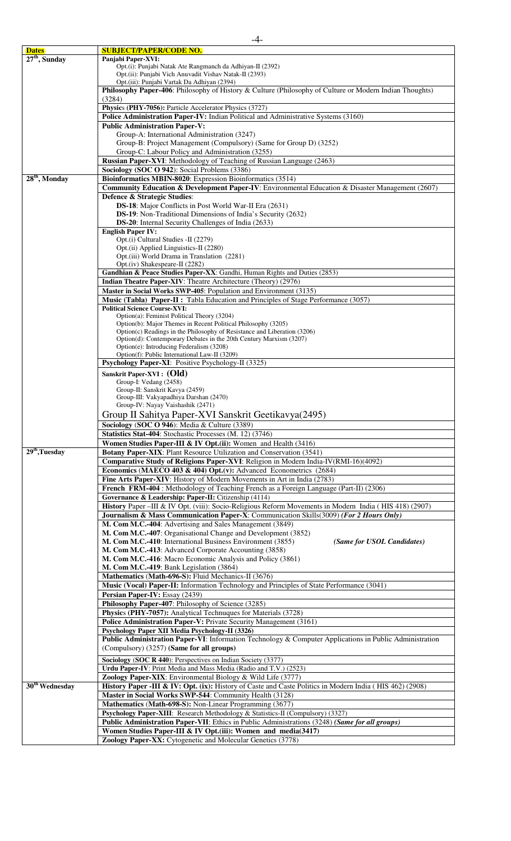| <b>Dates</b>              | <b>SUBJECT/PAPER/CODE NO.</b>                                                                               |
|---------------------------|-------------------------------------------------------------------------------------------------------------|
| $27th$ , Sunday           | Panjabi Paper-XVI:                                                                                          |
|                           | Opt.(i): Punjabi Natak Ate Rangmanch da Adhiyan-II (2392)                                                   |
|                           | Opt.(ii): Punjabi Vich Anuvadit Vishav Natak-II (2393)                                                      |
|                           | Opt.(iii): Punjabi Vartak Da Adhiyan (2394)                                                                 |
|                           | Philosophy Paper-406: Philosophy of History & Culture (Philosophy of Culture or Modern Indian Thoughts)     |
|                           | (3284)                                                                                                      |
|                           | Physics (PHY-7056): Particle Accelerator Physics (3727)                                                     |
|                           | Police Administration Paper-IV: Indian Political and Administrative Systems (3160)                          |
|                           | <b>Public Administration Paper-V:</b>                                                                       |
|                           | Group-A: International Administration (3247)                                                                |
|                           | Group-B: Project Management (Compulsory) (Same for Group D) (3252)                                          |
|                           | Group-C: Labour Policy and Administration (3255)                                                            |
|                           | <b>Russian Paper-XVI:</b> Methodology of Teaching of Russian Language (2463)                                |
|                           | Sociology (SOC O 942): Social Problems (3386)                                                               |
| 28 <sup>th</sup> , Monday | Bioinformatics MBIN-8020: Expression Bioinformatics (3514)                                                  |
|                           |                                                                                                             |
|                           | <b>Community Education &amp; Development Paper-IV:</b> Environmental Education & Disaster Management (2607) |
|                           | Defence & Strategic Studies:                                                                                |
|                           | <b>DS-18</b> : Major Conflicts in Post World War-II Era (2631)                                              |
|                           | DS-19: Non-Traditional Dimensions of India's Security (2632)                                                |
|                           | <b>DS-20:</b> Internal Security Challenges of India (2633)                                                  |
|                           | <b>English Paper IV:</b>                                                                                    |
|                           | Opt.(i) Cultural Studies -II (2279)                                                                         |
|                           | Opt.(ii) Applied Linguistics-II (2280)                                                                      |
|                           | Opt.(iii) World Drama in Translation (2281)                                                                 |
|                           | Opt.(iv) Shakespeare-II (2282)                                                                              |
|                           | Gandhian & Peace Studies Paper-XX: Gandhi, Human Rights and Duties (2853)                                   |
|                           | Indian Theatre Paper-XIV: Theatre Architecture (Theory) (2976)                                              |
|                           | Master in Social Works SWP-405: Population and Environment (3135)                                           |
|                           | <b>Music (Tabla) Paper-II:</b> Tabla Education and Principles of Stage Performance (3057)                   |
|                           | <b>Political Science Course-XVI:</b>                                                                        |
|                           | Option(a): Feminist Political Theory (3204)                                                                 |
|                           | Option(b): Major Themes in Recent Political Philosophy (3205)                                               |
|                           | Option(c) Readings in the Philosophy of Resistance and Liberation (3206)                                    |
|                           | Option(d): Contemporary Debates in the 20th Century Marxism (3207)                                          |
|                           | $Option(e)$ : Introducing Federalism (3208)                                                                 |
|                           | Option(f): Public International Law-II (3209)                                                               |
|                           | Psychology Paper-XI: Positive Psychology-II (3325)                                                          |
|                           | Sanskrit Paper-XVI : (Old)                                                                                  |
|                           | Group-I: Vedang (2458)                                                                                      |
|                           | Group-II: Sanskrit Kavya (2459)                                                                             |
|                           | Group-III: Vakyapadhiya Darshan (2470)                                                                      |
|                           | Group-IV: Nayay Vaishashik (2471)                                                                           |
|                           | Group II Sahitya Paper-XVI Sanskrit Geetikavya(2495)                                                        |
|                           | Sociology (SOC O 946): Media & Culture (3389)                                                               |
|                           | Statistics Stat-404: Stochastic Processes (M. 12) (3746)                                                    |
|                           |                                                                                                             |
| $29th$ , Tuesday          | Women Studies Paper-III & IV Opt.(ii): Women and Health (3416)                                              |
|                           | Botany Paper-XIX: Plant Resource Utilization and Conservation (3541)                                        |
|                           | Comparative Study of Religions Paper-XVI: Religion in Modern India-IV(RMI-16)(4092)                         |
|                           | Economics (MAECO 403 & 404) Opt.(v): Advanced Econometrics $(2684)$                                         |
|                           | Fine Arts Paper-XIV: History of Modern Movements in Art in India (2783)                                     |
|                           | French FRM-404 : Methodology of Teaching French as a Foreign Language (Part-II) (2306)                      |
|                           | Governance & Leadership: Paper-II: Citizenship (4114)                                                       |
|                           | History Paper -III & IV Opt. (viii): Socio-Religious Reform Movements in Modern India (HIS 418) (2907)      |
|                           | <b>Journalism &amp; Mass Communication Paper-X:</b> Communication Skills(3009) (For 2 Hours Only)           |
|                           | M. Com M.C.-404: Advertising and Sales Management (3849)                                                    |
|                           | M. Com M.C.-407: Organisational Change and Development (3852)                                               |
|                           | M. Com M.C.-410: International Business Environment (3855)<br>(Same for USOL Candidates)                    |
|                           | M. Com M.C.-413: Advanced Corporate Accounting (3858)                                                       |
|                           | M. Com M.C.-416: Macro Economic Analysis and Policy (3861)                                                  |
|                           | M. Com M.C.-419: Bank Legislation (3864)                                                                    |
|                           |                                                                                                             |
|                           | Mathematics (Math-696-S): Fluid Mechanics-II (3676)                                                         |
|                           | Music (Vocal) Paper-II: Information Technology and Principles of State Performance (3041)                   |
|                           | Persian Paper-IV: Essay (2439)                                                                              |
|                           | Philosophy Paper-407: Philosophy of Science (3285)                                                          |
|                           | Physics (PHY-7057): Analytical Technuques for Materials (3728)                                              |
|                           | Police Administration Paper-V: Private Security Management (3161)                                           |
|                           | Psychology Paper XII Media Psychology-II (3326)                                                             |
|                           | Public Administration Paper-VI: Information Technology & Computer Applications in Public Administration     |
|                           | (Compulsory) (3257) (Same for all groups)                                                                   |
|                           |                                                                                                             |
|                           | Sociology (SOC R 440): Perspectives on Indian Society (3377)                                                |
|                           | Urdu Paper-IV: Print Media and Mass Media (Radio and T.V.) (2523)                                           |
|                           | Zoology Paper-XIX: Environmental Biology & Wild Life (3777)                                                 |
| $30th$ Wednesday          | History Paper -III & IV: Opt. (ix): History of Caste and Caste Politics in Modern India (HIS 462) (2908)    |
|                           | Master in Social Works SWP-544: Community Health (3128)                                                     |
|                           | Mathematics (Math-698-S): Non-Linear Programming (3677)                                                     |
|                           | Psychology Paper-XIII: Research Methodology & Statistics-II (Compulsory) (3327)                             |
|                           | Public Administration Paper-VII: Ethics in Public Administrations (3248) (Same for all groups)              |
|                           |                                                                                                             |
|                           | Women Studies Paper-III & IV Opt.(iii): Women and media(3417)                                               |